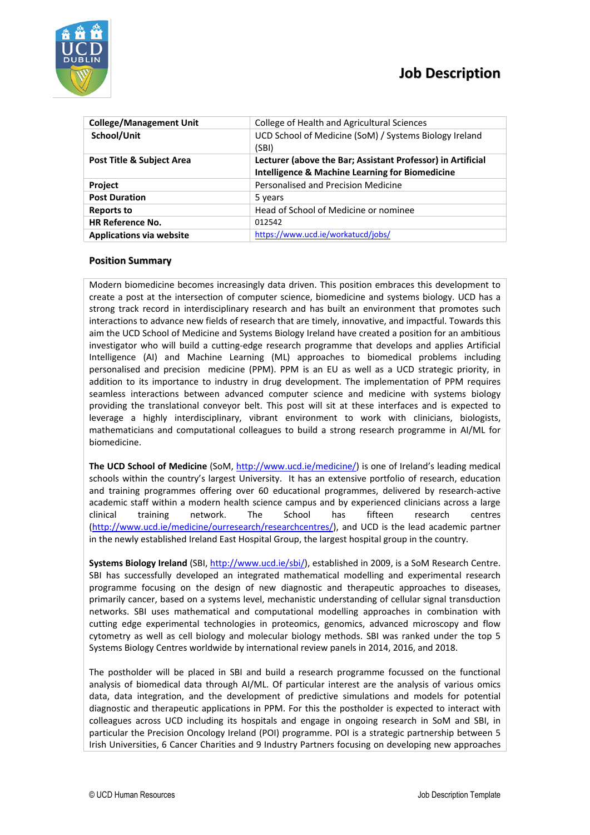

| <b>College/Management Unit</b>       | College of Health and Agricultural Sciences                 |
|--------------------------------------|-------------------------------------------------------------|
| School/Unit                          | UCD School of Medicine (SoM) / Systems Biology Ireland      |
|                                      | (SBI)                                                       |
| <b>Post Title &amp; Subject Area</b> | Lecturer (above the Bar; Assistant Professor) in Artificial |
|                                      | <b>Intelligence &amp; Machine Learning for Biomedicine</b>  |
| <b>Project</b>                       | Personalised and Precision Medicine                         |
| <b>Post Duration</b>                 | 5 years                                                     |
| <b>Reports to</b>                    | Head of School of Medicine or nominee                       |
| <b>HR Reference No.</b>              | 012542                                                      |
| <b>Applications via website</b>      | https://www.ucd.ie/workatucd/jobs/                          |
|                                      |                                                             |

## **Position Summary**

Modern biomedicine becomes increasingly data driven. This position embraces this development to create a post at the intersection of computer science, biomedicine and systems biology. UCD has a strong track record in interdisciplinary research and has built an environment that promotes such interactions to advance new fields of research that are timely, innovative, and impactful. Towards this aim the UCD School of Medicine and Systems Biology Ireland have created a position for an ambitious investigator who will build a cutting-edge research programme that develops and applies Artificial Intelligence (AI) and Machine Learning (ML) approaches to biomedical problems including personalised and precision medicine (PPM). PPM is an EU as well as a UCD strategic priority, in addition to its importance to industry in drug development. The implementation of PPM requires seamless interactions between advanced computer science and medicine with systems biology providing the translational conveyor belt. This post will sit at these interfaces and is expected to leverage a highly interdisciplinary, vibrant environment to work with clinicians, biologists, mathematicians and computational colleagues to build a strong research programme in AI/ML for biomedicine.

**The UCD School of Medicine** (SoM, [http://www.ucd.ie/medicine/\)](http://www.ucd.ie/medicine/) is one of Ireland's leading medical schools within the country's largest University. It has an extensive portfolio of research, education and training programmes offering over 60 educational programmes, delivered by research-active academic staff within a modern health science campus and by experienced clinicians across a large clinical training network. The School has fifteen research centres [\(http://www.ucd.ie/medicine/ourresearch/researchcentres/\)](http://www.ucd.ie/medicine/ourresearch/researchcentres/), and UCD is the lead academic partner in the newly established Ireland East Hospital Group, the largest hospital group in the country.

**Systems Biology Ireland** (SBI, [http://www.ucd.ie/sbi/\)](http://www.ucd.ie/sbi/), established in 2009, is a SoM Research Centre. SBI has successfully developed an integrated mathematical modelling and experimental research programme focusing on the design of new diagnostic and therapeutic approaches to diseases, primarily cancer, based on a systems level, mechanistic understanding of cellular signal transduction networks. SBI uses mathematical and computational modelling approaches in combination with cutting edge experimental technologies in proteomics, genomics, advanced microscopy and flow cytometry as well as cell biology and molecular biology methods. SBI was ranked under the top 5 Systems Biology Centres worldwide by international review panels in 2014, 2016, and 2018.

The postholder will be placed in SBI and build a research programme focussed on the functional analysis of biomedical data through AI/ML. Of particular interest are the analysis of various omics data, data integration, and the development of predictive simulations and models for potential diagnostic and therapeutic applications in PPM. For this the postholder is expected to interact with colleagues across UCD including its hospitals and engage in ongoing research in SoM and SBI, in particular the Precision Oncology Ireland (POI) programme. POI is a strategic partnership between 5 Irish Universities, 6 Cancer Charities and 9 Industry Partners focusing on developing new approaches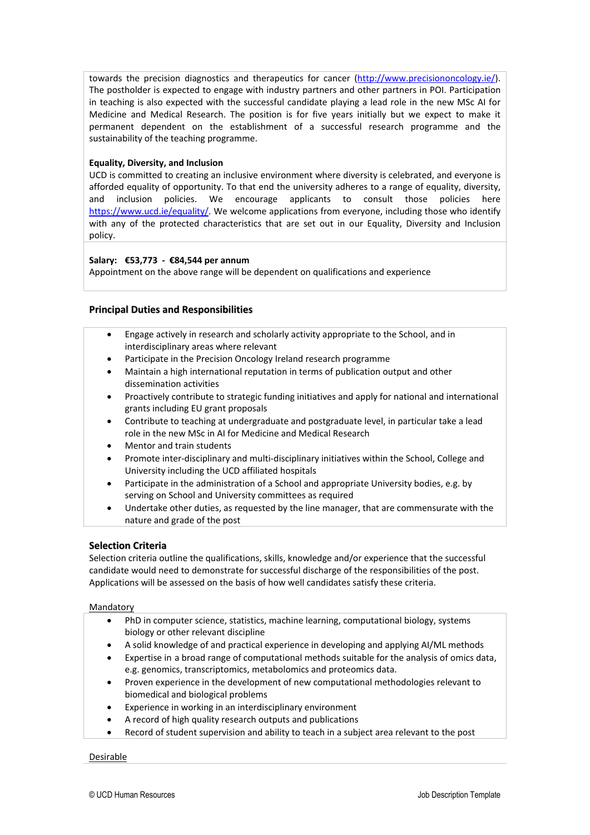towards the precision diagnostics and therapeutics for cancer [\(http://www.precisiononcology.ie/\)](http://www.precisiononcology.ie/). The postholder is expected to engage with industry partners and other partners in POI. Participation in teaching is also expected with the successful candidate playing a lead role in the new MSc AI for Medicine and Medical Research. The position is for five years initially but we expect to make it permanent dependent on the establishment of a successful research programme and the sustainability of the teaching programme.

### **Equality, Diversity, and Inclusion**

UCD is committed to creating an inclusive environment where diversity is celebrated, and everyone is afforded equality of opportunity. To that end the university adheres to a range of equality, diversity, and inclusion policies. We encourage applicants to consult those policies here [https://www.ucd.ie/equality/.](https://www.ucd.ie/equality/) We welcome applications from everyone, including those who identify with any of the protected characteristics that are set out in our Equality, Diversity and Inclusion policy.

### **Salary: €53,773 - €84,544 per annum**

Appointment on the above range will be dependent on qualifications and experience

### **Principal Duties and Responsibilities**

- Engage actively in research and scholarly activity appropriate to the School, and in interdisciplinary areas where relevant
- Participate in the Precision Oncology Ireland research programme
- Maintain a high international reputation in terms of publication output and other dissemination activities
- Proactively contribute to strategic funding initiatives and apply for national and international grants including EU grant proposals
- Contribute to teaching at undergraduate and postgraduate level, in particular take a lead role in the new MSc in AI for Medicine and Medical Research
- Mentor and train students
- Promote inter-disciplinary and multi-disciplinary initiatives within the School, College and University including the UCD affiliated hospitals
- Participate in the administration of a School and appropriate University bodies, e.g. by serving on School and University committees as required
- Undertake other duties, as requested by the line manager, that are commensurate with the nature and grade of the post

### **Selection Criteria**

Selection criteria outline the qualifications, skills, knowledge and/or experience that the successful candidate would need to demonstrate for successful discharge of the responsibilities of the post. Applications will be assessed on the basis of how well candidates satisfy these criteria.

### Mandatory

- PhD in computer science, statistics, machine learning, computational biology, systems biology or other relevant discipline
- A solid knowledge of and practical experience in developing and applying AI/ML methods
- Expertise in a broad range of computational methods suitable for the analysis of omics data, e.g. genomics, transcriptomics, metabolomics and proteomics data.
- Proven experience in the development of new computational methodologies relevant to biomedical and biological problems
- Experience in working in an interdisciplinary environment
- A record of high quality research outputs and publications
- Record of student supervision and ability to teach in a subject area relevant to the post

### Desirable